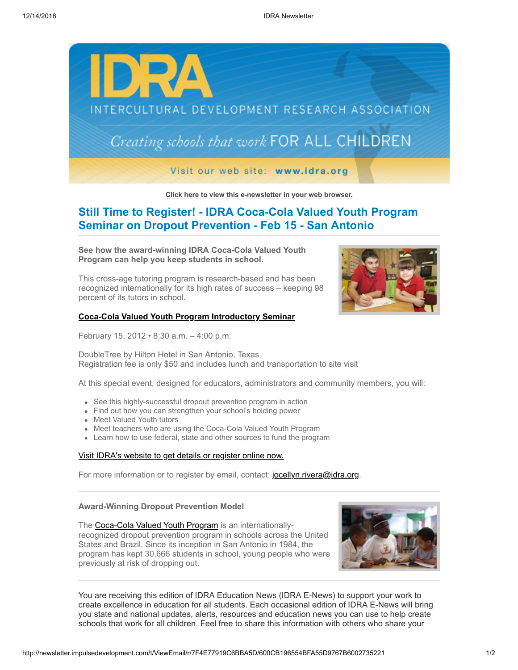

**[Click here to view this e-newsletter in your web browser.](http://newsletter.impulsedevelopment.com/t/r/e/dlstdd/xlycihk/)**

# **Still Time to Register! - IDRA Coca-Cola Valued Youth Program Seminar on Dropout Prevention - Feb 15 - San Antonio**

**See how the award-winning IDRA Coca-Cola Valued Youth Program can help you keep students in school.** 

This cross-age tutoring program is research-based and has been recognized internationally for its high rates of success – keeping 98 percent of its tutors in school.

### **[Coca-Cola Valued Youth Program Introductory Seminar](http://newsletter.impulsedevelopment.com/t/r/l/dlstdd/xlycihk/y/)**

February 15, 2012 • 8:30 a.m. – 4:00 p.m.

DoubleTree by Hilton Hotel in San Antonio, Texas Registration fee is only \$50 and includes lunch and transportation to site visit

At this special event, designed for educators, administrators and community members, you will:

- See this highly-successful dropout prevention program in action
- Find out how you can strengthen your school's holding power
- Meet Valued Youth tutors
- Meet teachers who are using the Coca-Cola Valued Youth Program
- Learn how to use federal, state and other sources to fund the program

### [Visit IDRA's website to get details or register online now.](http://newsletter.impulsedevelopment.com/t/r/l/dlstdd/xlycihk/j/)

For more information or to register by email, contact: [jocellyn.rivera@idra.org](mailto:jocellyn.rivera@idra.org?subject=Introductory%20Seminar).

## **Award-Winning Dropout Prevention Model**

The [Coca-Cola Valued Youth Program](http://newsletter.impulsedevelopment.com/t/r/l/dlstdd/xlycihk/h/) is an internationallyrecognized dropout prevention program in schools across the United States and Brazil. Since its inception in San Antonio in 1984, the program has kept 30,666 students in school, young people who were previously at risk of dropping out.



You are receiving this edition of IDRA Education News (IDRA E-News) to support your work to create excellence in education for all students. Each occasional edition of IDRA E-News will bring you state and national updates, alerts, resources and education news you can use to help create schools that work for all children. Feel free to share this information with others who share your